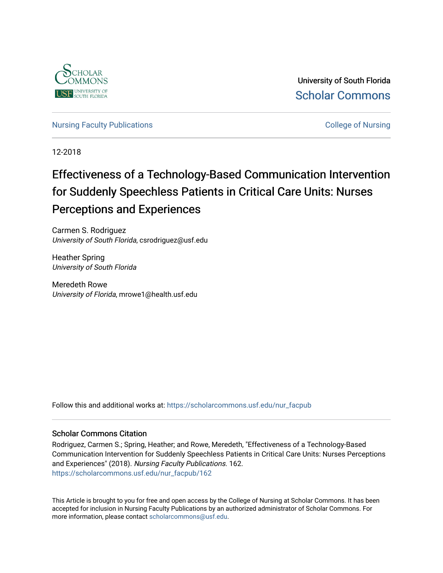

University of South Florida [Scholar Commons](https://scholarcommons.usf.edu/) 

[Nursing Faculty Publications](https://scholarcommons.usf.edu/nur_facpub) **College of Nursing** 

12-2018

### Effectiveness of a Technology-Based Communication Intervention for Suddenly Speechless Patients in Critical Care Units: Nurses Perceptions and Experiences

Carmen S. Rodriguez University of South Florida, csrodriguez@usf.edu

Heather Spring University of South Florida

Meredeth Rowe University of Florida, mrowe1@health.usf.edu

Follow this and additional works at: [https://scholarcommons.usf.edu/nur\\_facpub](https://scholarcommons.usf.edu/nur_facpub?utm_source=scholarcommons.usf.edu%2Fnur_facpub%2F162&utm_medium=PDF&utm_campaign=PDFCoverPages) 

#### Scholar Commons Citation

Rodriguez, Carmen S.; Spring, Heather; and Rowe, Meredeth, "Effectiveness of a Technology-Based Communication Intervention for Suddenly Speechless Patients in Critical Care Units: Nurses Perceptions and Experiences" (2018). Nursing Faculty Publications. 162. [https://scholarcommons.usf.edu/nur\\_facpub/162](https://scholarcommons.usf.edu/nur_facpub/162?utm_source=scholarcommons.usf.edu%2Fnur_facpub%2F162&utm_medium=PDF&utm_campaign=PDFCoverPages) 

This Article is brought to you for free and open access by the College of Nursing at Scholar Commons. It has been accepted for inclusion in Nursing Faculty Publications by an authorized administrator of Scholar Commons. For more information, please contact [scholarcommons@usf.edu](mailto:scholarcommons@usf.edu).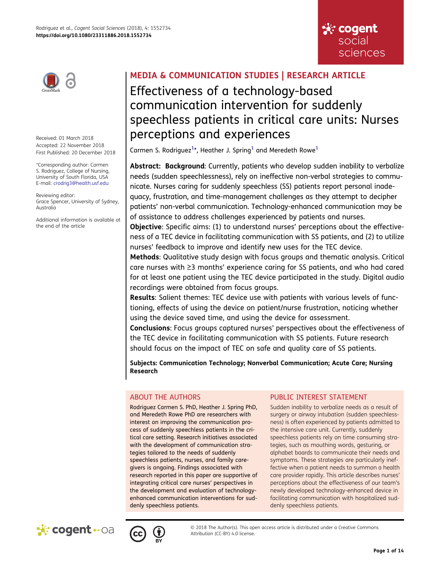

Received: 01 March 2018 Accepted: 22 November 2018 First Published: 20 December 2018

\*Corresponding author: Carmen S. Rodriguez, College of Nursing, University of South Florida, USA E-mail: crodrig3@health.usf.edu

Reviewing editor: Grace Spencer, University of Sydney, Australia

Additional information is available at the end of the article

#### MEDIA & COMMUNICATION STUDIES | RESEARCH ARTICLE Effectiveness of a technology-based communication intervention for suddenly speechless patients in critical care units: Nurses perceptions and experiences

<span id="page-1-0"></span>Carmen S. Rodriguez $^{1\star}$  $^{1\star}$  $^{1\star}$ , Heather J. Spring $^{1}$  and Meredeth Rowe $^{1}$ 

Abstract: Background: Currently, patients who develop sudden inability to verbalize needs (sudden speechlessness), rely on ineffective non-verbal strategies to communicate. Nurses caring for suddenly speechless (SS) patients report personal inadequacy, frustration, and time-management challenges as they attempt to decipher patients' non-verbal communication. Technology-enhanced communication may be of assistance to address challenges experienced by patients and nurses.

Objective: Specific aims: (1) to understand nurses' perceptions about the effectiveness of a TEC device in facilitating communication with SS patients, and (2) to utilize nurses' feedback to improve and identify new uses for the TEC device.

Methods: Qualitative study design with focus groups and thematic analysis. Critical care nurses with ≥3 months' experience caring for SS patients, and who had cared for at least one patient using the TEC device participated in the study. Digital audio recordings were obtained from focus groups.

Results: Salient themes: TEC device use with patients with various levels of functioning, effects of using the device on patient/nurse frustration, noticing whether using the device saved time, and using the device for assessment.

Conclusions: Focus groups captured nurses' perspectives about the effectiveness of the TEC device in facilitating communication with SS patients. Future research should focus on the impact of TEC on safe and quality care of SS patients.

Subjects: Communication Technology; Nonverbal Communication; Acute Care; Nursing Research

#### ABOUT THE AUTHORS

Rodriguez Carmen S. PhD, Heather J. Spring PhD, and Meredeth Rowe PhD are researchers with interest on improving the communication process of suddenly speechless patients in the critical care setting. Research initiatives associated with the development of communication strategies tailored to the needs of suddenly speechless patients, nurses, and family caregivers is ongoing. Findings associated with research reported in this paper are supportive of integrating critical care nurses' perspectives in the development and evaluation of technologyenhanced communication interventions for suddenly speechless patients.

#### PUBLIC INTEREST STATEMENT

Sudden inability to verbalize needs as a result of surgery or airway intubation (sudden speechlessness) is often experienced by patients admitted to the intensive care unit. Currently, suddenly speechless patients rely on time consuming strategies, such as mouthing words, gesturing, or alphabet boards to communicate their needs and symptoms. These strategies are particularly ineffective when a patient needs to summon a health care provider rapidly. This article describes nurses' perceptions about the effectiveness of our team's newly developed technology-enhanced device in facilitating communication with hospitalized suddenly speechless patients.

☆ cogent social

sciences





© 2018 The Author(s). This open access article is distributed under a Creative Commons Attribution (CC-BY) 4.0 license.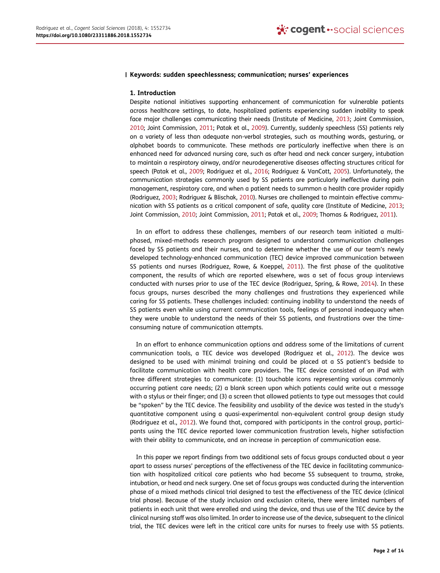#### | Keywords: sudden speechlessness; communication; nurses' experiences

#### 1. Introduction

<span id="page-2-5"></span>Despite national initiatives supporting enhancement of communication for vulnerable patients across healthcare settings, to date, hospitalized patients experiencing sudden inability to speak face major challenges communicating their needs (Institute of Medicine, [2013;](#page-13-1) Joint Commission, [2010](#page-13-2); Joint Commission, [2011](#page-13-3); Patak et al., [2009](#page-13-4)). Currently, suddenly speechless (SS) patients rely on a variety of less than adequate non-verbal strategies, such as mouthing words, gesturing, or alphabet boards to communicate. These methods are particularly ineffective when there is an enhanced need for advanced nursing care, such as after head and neck cancer surgery, intubation to maintain a respiratory airway, and/or neurodegenerative diseases affecting structures critical for speech (Patak et al., [2009](#page-13-4); Rodriguez et al., [2016](#page-13-5); Rodriguez & VanCott, [2005](#page-13-6)). Unfortunately, the communication strategies commonly used by SS patients are particularly ineffective during pain management, respiratory care, and when a patient needs to summon a health care provider rapidly (Rodriguez, [2003;](#page-13-7) Rodriguez & Blischak, [2010\)](#page-13-8). Nurses are challenged to maintain effective communication with SS patients as a critical component of safe, quality care (Institute of Medicine, [2013](#page-13-1); Joint Commission, [2010;](#page-13-2) Joint Commission, [2011;](#page-13-3) Patak et al., [2009](#page-13-4); Thomas & Rodriguez, [2011\)](#page-13-9).

<span id="page-2-6"></span><span id="page-2-3"></span><span id="page-2-2"></span><span id="page-2-1"></span><span id="page-2-0"></span>In an effort to address these challenges, members of our research team initiated a multiphased, mixed-methods research program designed to understand communication challenges faced by SS patients and their nurses, and to determine whether the use of our team's newly developed technology-enhanced communication (TEC) device improved communication between SS patients and nurses (Rodriguez, Rowe, & Koeppel, [2011](#page-13-10)). The first phase of the qualitative component, the results of which are reported elsewhere, was a set of focus group interviews conducted with nurses prior to use of the TEC device (Rodriguez, Spring, & Rowe, [2014](#page-13-11)). In these focus groups, nurses described the many challenges and frustrations they experienced while caring for SS patients. These challenges included: continuing inability to understand the needs of SS patients even while using current communication tools, feelings of personal inadequacy when they were unable to understand the needs of their SS patients, and frustrations over the timeconsuming nature of communication attempts.

In an effort to enhance communication options and address some of the limitations of current communication tools, a TEC device was developed (Rodriguez et al., [2012](#page-13-12)). The device was designed to be used with minimal training and could be placed at a SS patient's bedside to facilitate communication with health care providers. The TEC device consisted of an iPad with three different strategies to communicate: (1) touchable icons representing various commonly occurring patient care needs; (2) a blank screen upon which patients could write out a message with a stylus or their finger; and (3) a screen that allowed patients to type out messages that could be "spoken" by the TEC device. The feasibility and usability of the device was tested in the study's quantitative component using a quasi-experimental non-equivalent control group design study (Rodriguez et al., [2012](#page-13-12)). We found that, compared with participants in the control group, participants using the TEC device reported lower communication frustration levels, higher satisfaction with their ability to communicate, and an increase in perception of communication ease.

<span id="page-2-4"></span>In this paper we report findings from two additional sets of focus groups conducted about a year apart to assess nurses' perceptions of the effectiveness of the TEC device in facilitating communication with hospitalized critical care patients who had become SS subsequent to trauma, stroke, intubation, or head and neck surgery. One set of focus groups was conducted during the intervention phase of a mixed methods clinical trial designed to test the effectiveness of the TEC device (clinical trial phase). Because of the study inclusion and exclusion criteria, there were limited numbers of patients in each unit that were enrolled and using the device, and thus use of the TEC device by the clinical nursing staff was also limited. In order to increase use of the device, subsequent to the clinical trial, the TEC devices were left in the critical care units for nurses to freely use with SS patients.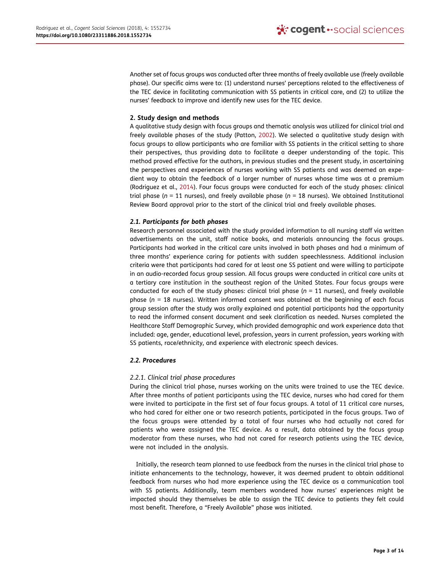Another set of focus groups was conducted after three months of freely available use (freely available phase). Our specific aims were to: (1) understand nurses' perceptions related to the effectiveness of the TEC device in facilitating communication with SS patients in critical care, and (2) to utilize the nurses' feedback to improve and identify new uses for the TEC device.

#### 2. Study design and methods

<span id="page-3-0"></span>A qualitative study design with focus groups and thematic analysis was utilized for clinical trial and freely available phases of the study (Patton, [2002\)](#page-13-13). We selected a qualitative study design with focus groups to allow participants who are familiar with SS patients in the critical setting to share their perspectives, thus providing data to facilitate a deeper understanding of the topic. This method proved effective for the authors, in previous studies and the present study, in ascertaining the perspectives and experiences of nurses working with SS patients and was deemed an expedient way to obtain the feedback of a larger number of nurses whose time was at a premium (Rodriguez et al., [2014](#page-13-11)). Four focus groups were conducted for each of the study phases: clinical trial phase ( $n = 11$  nurses), and freely available phase ( $n = 18$  nurses). We obtained Institutional Review Board approval prior to the start of the clinical trial and freely available phases.

#### 2.1. Participants for both phases

Research personnel associated with the study provided information to all nursing staff via written advertisements on the unit, staff notice books, and materials announcing the focus groups. Participants had worked in the critical care units involved in both phases and had a minimum of three months' experience caring for patients with sudden speechlessness. Additional inclusion criteria were that participants had cared for at least one SS patient and were willing to participate in an audio-recorded focus group session. All focus groups were conducted in critical care units at a tertiary care institution in the southeast region of the United States. Four focus groups were conducted for each of the study phases: clinical trial phase ( $n = 11$  nurses), and freely available phase ( $n = 18$  nurses). Written informed consent was obtained at the beginning of each focus group session after the study was orally explained and potential participants had the opportunity to read the informed consent document and seek clarification as needed. Nurses completed the Healthcare Staff Demographic Survey, which provided demographic and work experience data that included: age, gender, educational level, profession, years in current profession, years working with SS patients, race/ethnicity, and experience with electronic speech devices.

#### 2.2. Procedures

#### 2.2.1. Clinical trial phase procedures

During the clinical trial phase, nurses working on the units were trained to use the TEC device. After three months of patient participants using the TEC device, nurses who had cared for them were invited to participate in the first set of four focus groups. A total of 11 critical care nurses, who had cared for either one or two research patients, participated in the focus groups. Two of the focus groups were attended by a total of four nurses who had actually not cared for patients who were assigned the TEC device. As a result, data obtained by the focus group moderator from these nurses, who had not cared for research patients using the TEC device, were not included in the analysis.

Initially, the research team planned to use feedback from the nurses in the clinical trial phase to initiate enhancements to the technology, however, it was deemed prudent to obtain additional feedback from nurses who had more experience using the TEC device as a communication tool with SS patients. Additionally, team members wondered how nurses' experiences might be impacted should they themselves be able to assign the TEC device to patients they felt could most benefit. Therefore, a "Freely Available" phase was initiated.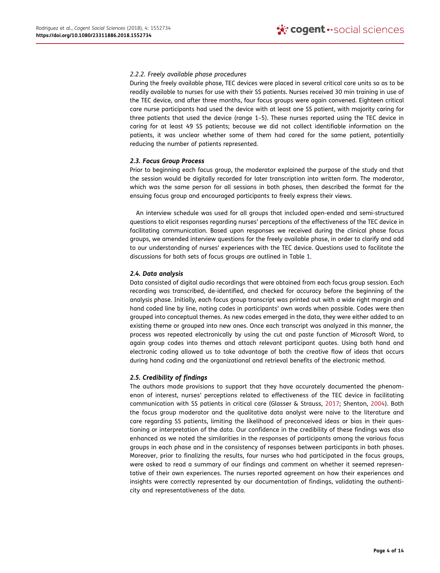#### 2.2.2. Freely available phase procedures

During the freely available phase, TEC devices were placed in several critical care units so as to be readily available to nurses for use with their SS patients. Nurses received 30 min training in use of the TEC device, and after three months, four focus groups were again convened. Eighteen critical care nurse participants had used the device with at least one SS patient, with majority caring for three patients that used the device (range 1–5). These nurses reported using the TEC device in caring for at least 49 SS patients; because we did not collect identifiable information on the patients, it was unclear whether some of them had cared for the same patient, potentially reducing the number of patients represented.

#### 2.3. Focus Group Process

Prior to beginning each focus group, the moderator explained the purpose of the study and that the session would be digitally recorded for later transcription into written form. The moderator, which was the same person for all sessions in both phases, then described the format for the ensuing focus group and encouraged participants to freely express their views.

An interview schedule was used for all groups that included open-ended and semi-structured questions to elicit responses regarding nurses' perceptions of the effectiveness of the TEC device in facilitating communication. Based upon responses we received during the clinical phase focus groups, we amended interview questions for the freely available phase, in order to clarify and add to our understanding of nurses' experiences with the TEC device. Questions used to facilitate the discussions for both sets of focus groups are outlined in Table [1.](#page-5-0)

#### 2.4. Data analysis

Data consisted of digital audio recordings that were obtained from each focus group session. Each recording was transcribed, de-identified, and checked for accuracy before the beginning of the analysis phase. Initially, each focus group transcript was printed out with a wide right margin and hand coded line by line, noting codes in participants' own words when possible. Codes were then grouped into conceptual themes. As new codes emerged in the data, they were either added to an existing theme or grouped into new ones. Once each transcript was analyzed in this manner, the process was repeated electronically by using the cut and paste function of Microsoft Word, to again group codes into themes and attach relevant participant quotes. Using both hand and electronic coding allowed us to take advantage of both the creative flow of ideas that occurs during hand coding and the organizational and retrieval benefits of the electronic method.

#### 2.5. Credibility of findings

<span id="page-4-0"></span>The authors made provisions to support that they have accurately documented the phenomenon of interest, nurses' perceptions related to effectiveness of the TEC device in facilitating communication with SS patients in critical care (Glasser & Strauss, [2017](#page-13-14); Shenton, [2004](#page-13-15)). Both the focus group moderator and the qualitative data analyst were naive to the literature and care regarding SS patients, limiting the likelihood of preconceived ideas or bias in their questioning or interpretation of the data. Our confidence in the credibility of these findings was also enhanced as we noted the similarities in the responses of participants among the various focus groups in each phase and in the consistency of responses between participants in both phases. Moreover, prior to finalizing the results, four nurses who had participated in the focus groups, were asked to read a summary of our findings and comment on whether it seemed representative of their own experiences. The nurses reported agreement on how their experiences and insights were correctly represented by our documentation of findings, validating the authenticity and representativeness of the data.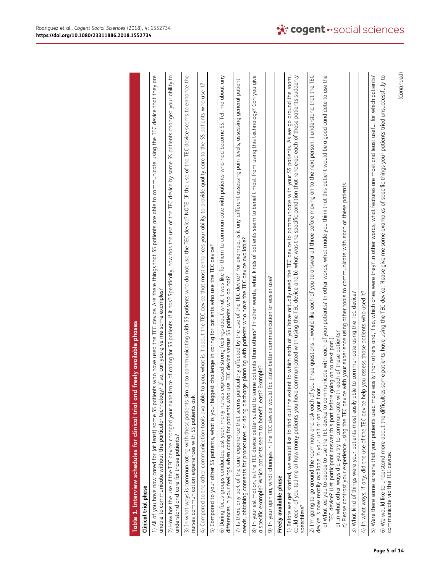# Table 1. Interview schedules for clinical trial and freely available phases Table 1. Interview schedules for clinical trial and freely available phases

## Clinical trial phase Clinical trial phase

<span id="page-5-0"></span>1) All of you have now cared for (at least) some SS patients who have used the TEC device. Are there things that SS patients are able to communicate using the TEC device that they are 1) All of you have now cared for (least) some SS patients who have used the TEC device. Are there things that SS patients are dole to communicate using the TEC device that they are unable to communicate without the particular technology? If so, can you give me some examples? unable to communicate without the particular technology? If so, can you give me some examples?

Rodriguez et al., Cogent Social Sciences (2018), 4: 1552734

2) How has the use of the TEC device changed your experience of caring for SS patients, if it has? Specifically, how has the use of the TEC device by some SS patients changed your ability to 2) How has the use of the TEC device changed your experience of caring for SS patients, if it has? Specifically, how has the use of the TEC device by some SS patients changed your ability to understand and care for those patients? understand and care for those patients? 3) In what ways is communicating with these patients similar to communicating with SS patients who do not use the TEC device? NOTE: IF the use of the TEC device seems to enhance the 3) In what ways is communicating with these patients similar to communicating with SS patients who do not use the TEC device? NOTE: IF the use of the TEC device seems to enhance the nurses communication experiences with SS patients ask: nurses communication experiences with SS patients ask:

4) Compared to the other communication tools available to you, what is it about the TEC device that most enhances your ability to provide quality care to the SS patients who use it? 4) Compared to the other communication tools available to you, what is it about the TEC device that most enhances your ability to provide quality care to the SS patients who use it?

5) Compared to your other SS patients, what is your biggest challenge in caring for patients who use the TEC device? 5) Compared to your other SS patients, what is your biggest challenge in caring for patients who use the TEC device? 6) During focus groups conducted last year, many nurses expressed strong feelings about what it was like for them to communicate with patients who had become SS. Tell me about any 6) During focus groups conducted last year, many nurses expressed strong feelings about what it was like for them to communicate with patients who had become SS. Tell me about any differences in your feelings when caring for patients who use TEC device versus SS patients who do not? differences in your feelings when caring for patients who use TEC device versus SS patients who do not?

7) Is there any part of the care experience that seems particularly affected by the use of the TEC device? For example, is it any different assessing pain levels, assessing general patient 7) Is there any part of the care experience that seems particularly affected by the use of the TEC device? For example, is it any different assessing pain levels, assessing general patient needs, obtaining consents for procedures, or doing discharge planning with patients who have the TEC device available? needs, obtaining consents for procedures, or doing discharge planning with patients who have the TEC device available? 8) In your estimation, is the TEC device better suited to some patients than others? In other words, what kinds of patients seem to benefit most from using this technology? Can you give 8) In your estimation, is the TEC device better suited to some patients than others? In other words, what kinds of patients seem to benefit most from using this technology? Can you give a specific example? Which patients seem to benefit least? Example? a specific example? Which patients seem to benefit least? Example?

9) In your opinion, what changes in the TEC device would facilitate better communication or easier use? 9) In your opinion, what changes in the TEC device would facilitate better communication or easier use?

# Freely available phase Freely available phase

1) Before we get started, we would like to find out the extent to which each of you have actually used the TEC device to communicate with your SS patients. As we go around the room,<br>could each of you tell me a) how many pa 1) Before we get started, we would like to find out the extent to which each of you have actually used the TEC device to communicate with your SS patients. As we go around the room, could each of you tell me a) how many patients you have communicated with using the TEC device and b) what was the specific condition that rendered each of these patients suddenly speechless? speechless?

2) I'm going to go around the room now and ask each of you three questions. I would like each of you to answer all three before moving on to the next person. I understand that the TEC 2) I'm going to go around the room now and ask each of you three questions. I would like each of you to answer all three before moving on to the next person. I understand that the TEC device is now readily available in your unit or on your floor. device is now readily available in your unit or on your floor.

a) What led you to decide to use the TEC device to communicate with each of your patients? In other words, what made you think that this patient would be a good candidate to use the a) What led you to decide to use the TEC device to communicate with each of your patients? In other words, what made you think that this patient would be a good candidate to use the TEC device? (Let participant answer this part before going on to next part.)<br>b) In what other ways did you try to communicate with each of these patients? TEC device? (Let participant answer this part before going on to next part.)

b) In what other ways did you try to communicate with each of these patients?

c) Please contrast your experience using the TEC device with your experience using other tools to communicate with each of these patients. c) Please contrast your experience using the TEC device with your experience using other tools to communicate with each of these patients.

What kind of things were your patients most easily able to communicate using the TEC device? 3) What kind of things were your patients most easily able to communicate using the TEC device?

ลิ

4) In what ways, if any, did the use of the TEC device help you assess those patients who used it? 4) In what ways, if any, did the use of the TEC device help you assess those patients who used it?

Were there some screens that your patients used more easily than others and, if so, which ones were they? In other words, what features are most and least useful for which patients? 5) Were there some screens that your patients used more easily than others and, if so, which ones were they? In other words, what features are most and least useful for which patients?

6) We would like to understand more about the difficulties some patients have using the TEC device. Please give me some examples of specific things your patients tried unsuccessfully to 6) We would like to understand more about the difficulties some patients have using the TEC device. Please give me some examples of specific things your patients tried unsuccessfully to communicate via the TEC device. communicate via the TEC device.

(Continued)

(Continued)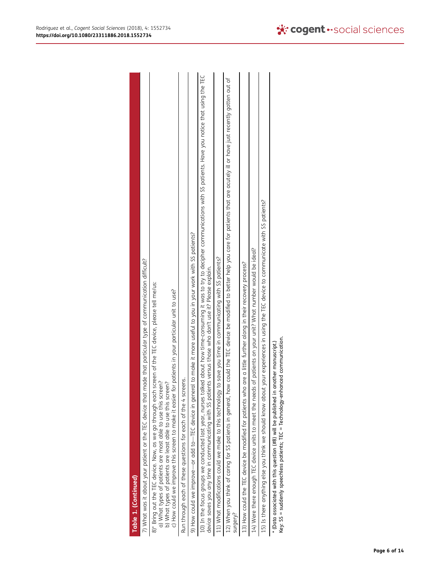| Rodriguez et al., Cogent Social Sciences (2018), 4: 1552734 |  |
|-------------------------------------------------------------|--|
| https://doi.org/10.1080/23311886.2018.1552734               |  |
|                                                             |  |
|                                                             |  |

| F |
|---|
| ť |
| c |
|   |
| ļ |
|   |
| í |
|   |
| ľ |
| I |
| ŋ |
|   |
|   |
| ÿ |
|   |
| G |
|   |
| é |
|   |
| ī |
|   |

# 7) What was it about your patient or the TEC device that made that particular type of communication difficult? 7) What was it about your patient or the TEC device that made that particular type of communication difficult?

8)\* Bring out the TEC device. Now, as we go through each screen of the TEC device, please tell me/us: 8)\* Bring out the TEC device. Now, as we go through each screen of the TEC device, please tell me/us:

a) What types of patients are most able to use this screen?<br>b) What types of patients are least able to use this screen? a) What types of patients are most able to use this screen? b) What types of patients are least able to use this screen?

c) How could we improve this screen to make it easier for patients in your particular unit to use? c) How could we improve this screen to make it easier for patients in your particular unit to use?

Run through each of these questions for each of the 4 screens. Run through each of these questions for each of the 4 screens.

9) How could we improve—or add to—TEC device in general to make it more useful to you in your work with SS patients? 9) How could we improve—or add to—TEC device in general to make it more useful to you in your work with SS patients?

In the focus groups we conducted last year, nurses talked about how time-consuming it was to try to decipher communications with SS patients. Have you notice that using the TEC 10) In the focus groups we conducted last year, nurses talked about how time-consuming it was to try to decipher communications with SS patients. Have you notice that using the TEC device saves you any time in communicating with SS patients versus those who don't use it? Please explain. device saves you any time in communicating with SS patients versus those who don't use it? Please explain.

11) What modifications could we make to this technology to save you time in communicating with SS patients? 11) What modifications could we make to this technology to save you time in communicating with SS patients?

12) When you think of caring for SS patients in general, how could the TEC device be modified to better help you care for patients that are acutely ill or have just recently gotten out of 12) When you think of caring for SS patients in general, how could the TEC device be modified to better help you care for patients that are acutely ill or have just recently gotten out of surgery?

13) How could the TEC device be modified for patients who are a little further along in their recovery process? 13) How could the TEC device be modified for patients who are a little further along in their recovery process? 14) Were there enough TEC device units to meet the needs of patients on your unit? What number would be ideal? 14) Were there enough TEC device units to meet the needs of patients on your unit? What number would be ideal? IS) Is there anything else you think we should know about your experiences in using the TEC device to communicate with SS patients? 15) Is there anything else you think we should know about your experiences in using the TEC device to communicate with SS patients?

\* (Data associated with this question (#8) will be published in another manuscript.) \* (Data associated with this question (#8) will be published in another manuscript.)

Key: SS = suddenly speechless patients; TEC = Technology-enhanced communication. Key: SS = suddenly speechless patients; TEC = Technology-enhanced communication.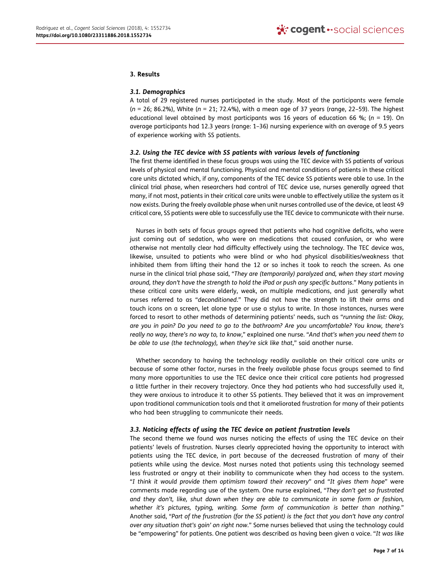#### 3. Results

#### 3.1. Demographics

A total of 29 registered nurses participated in the study. Most of the participants were female  $(n = 26; 86.2%)$ , White  $(n = 21; 72.4%)$ , with a mean age of 37 years (range, 22-59). The highest educational level obtained by most participants was 16 years of education 66 %; ( $n = 19$ ). On average participants had 12.3 years (range: 1–36) nursing experience with an average of 9.5 years of experience working with SS patients.

#### 3.2. Using the TEC device with SS patients with various levels of functioning

The first theme identified in these focus groups was using the TEC device with SS patients of various levels of physical and mental functioning. Physical and mental conditions of patients in these critical care units dictated which, if any, components of the TEC device SS patients were able to use. In the clinical trial phase, when researchers had control of TEC device use, nurses generally agreed that many, if not most, patients in their critical care units were unable to effectively utilize the system as it now exists. During the freely available phase when unit nurses controlled use of the device, at least 49 critical care, SS patients were able to successfully use the TEC device to communicate with their nurse.

Nurses in both sets of focus groups agreed that patients who had cognitive deficits, who were just coming out of sedation, who were on medications that caused confusion, or who were otherwise not mentally clear had difficulty effectively using the technology. The TEC device was, likewise, unsuited to patients who were blind or who had physical disabilities/weakness that inhibited them from lifting their hand the 12 or so inches it took to reach the screen. As one nurse in the clinical trial phase said, "They are (temporarily) paralyzed and, when they start moving around, they don't have the strength to hold the iPad or push any specific buttons." Many patients in these critical care units were elderly, weak, on multiple medications, and just generally what nurses referred to as "deconditioned." They did not have the strength to lift their arms and touch icons on a screen, let alone type or use a stylus to write. In those instances, nurses were forced to resort to other methods of determining patients' needs, such as "running the list: Okay, are you in pain? Do you need to go to the bathroom? Are you uncomfortable? You know, there's really no way, there's no way to, to know," explained one nurse. "And that's when you need them to be able to use (the technology), when they're sick like that," said another nurse.

Whether secondary to having the technology readily available on their critical care units or because of some other factor, nurses in the freely available phase focus groups seemed to find many more opportunities to use the TEC device once their critical care patients had progressed a little further in their recovery trajectory. Once they had patients who had successfully used it, they were anxious to introduce it to other SS patients. They believed that it was an improvement upon traditional communication tools and that it ameliorated frustration for many of their patients who had been struggling to communicate their needs.

#### 3.3. Noticing effects of using the TEC device on patient frustration levels

The second theme we found was nurses noticing the effects of using the TEC device on their patients' levels of frustration. Nurses clearly appreciated having the opportunity to interact with patients using the TEC device, in part because of the decreased frustration of many of their patients while using the device. Most nurses noted that patients using this technology seemed less frustrated or angry at their inability to communicate when they had access to the system. "I think it would provide them optimism toward their recovery" and "It gives them hope" were comments made regarding use of the system. One nurse explained, "They don't get so frustrated and they don't, like, shut down when they are able to communicate in some form or fashion, whether it's pictures, typing, writing. Some form of communication is better than nothing." Another said, "Part of the frustration (for the SS patient) is the fact that you don't have any control over any situation that's goin' on right now." Some nurses believed that using the technology could be "empowering" for patients. One patient was described as having been given a voice. "It was like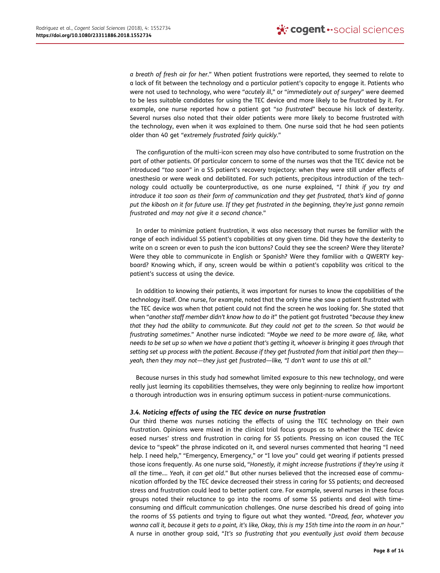a breath of fresh air for her." When patient frustrations were reported, they seemed to relate to a lack of fit between the technology and a particular patient's capacity to engage it. Patients who were not used to technology, who were "acutely ill," or "immediately out of surgery" were deemed to be less suitable candidates for using the TEC device and more likely to be frustrated by it. For example, one nurse reported how a patient got "so frustrated" because his lack of dexterity. Several nurses also noted that their older patients were more likely to become frustrated with the technology, even when it was explained to them. One nurse said that he had seen patients older than 40 get "extremely frustrated fairly quickly."

The configuration of the multi-icon screen may also have contributed to some frustration on the part of other patients. Of particular concern to some of the nurses was that the TEC device not be introduced "too soon" in a SS patient's recovery trajectory: when they were still under effects of anesthesia or were weak and debilitated. For such patients, precipitous introduction of the technology could actually be counterproductive, as one nurse explained, "I think if you try and introduce it too soon as their form of communication and they get frustrated, that's kind of gonna put the kibosh on it for future use. If they get frustrated in the beginning, they're just gonna remain frustrated and may not give it a second chance."

In order to minimize patient frustration, it was also necessary that nurses be familiar with the range of each individual SS patient's capabilities at any given time. Did they have the dexterity to write on a screen or even to push the icon buttons? Could they see the screen? Were they literate? Were they able to communicate in English or Spanish? Were they familiar with a QWERTY keyboard? Knowing which, if any, screen would be within a patient's capability was critical to the patient's success at using the device.

In addition to knowing their patients, it was important for nurses to know the capabilities of the technology itself. One nurse, for example, noted that the only time she saw a patient frustrated with the TEC device was when that patient could not find the screen he was looking for. She stated that when "another staff member didn't know how to do it" the patient got frustrated "because they knew that they had the ability to communicate. But they could not get to the screen. So that would be frustrating sometimes." Another nurse indicated: "Maybe we need to be more aware of, like, what needs to be set up so when we have a patient that's getting it, whoever is bringing it goes through that setting set up process with the patient. Because if they get frustrated from that initial part then they yeah, then they may not—they just get frustrated—like, "I don't want to use this at all."

Because nurses in this study had somewhat limited exposure to this new technology, and were really just learning its capabilities themselves, they were only beginning to realize how important a thorough introduction was in ensuring optimum success in patient-nurse communications.

#### 3.4. Noticing effects of using the TEC device on nurse frustration

Our third theme was nurses noticing the effects of using the TEC technology on their own frustration. Opinions were mixed in the clinical trial focus groups as to whether the TEC device eased nurses' stress and frustration in caring for SS patients. Pressing an icon caused the TEC device to "speak" the phrase indicated on it, and several nurses commented that hearing "I need help. I need help," "Emergency, Emergency," or "I love you" could get wearing if patients pressed those icons frequently. As one nurse said, "Honestly, it might increase frustrations if they're using it all the time…. Yeah, it can get old." But other nurses believed that the increased ease of communication afforded by the TEC device decreased their stress in caring for SS patients; and decreased stress and frustration could lead to better patient care. For example, several nurses in these focus groups noted their reluctance to go into the rooms of some SS patients and deal with timeconsuming and difficult communication challenges. One nurse described his dread of going into the rooms of SS patients and trying to figure out what they wanted. "Dread, fear, whatever you wanna call it, because it gets to a point, it's like, Okay, this is my 15th time into the room in an hour." A nurse in another group said, "It's so frustrating that you eventually just avoid them because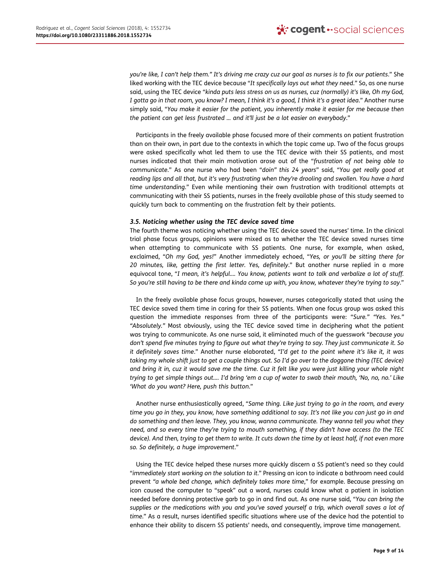you're like, I can't help them." It's driving me crazy cuz our goal as nurses is to fix our patients." She liked working with the TEC device because "It specifically lays out what they need." So, as one nurse said, using the TEC device "kinda puts less stress on us as nurses, cuz (normally) it's like, Oh my God, I gotta go in that room, you know? I mean, I think it's a good, I think it's a great idea." Another nurse simply said, "You make it easier for the patient, you inherently make it easier for me because then the patient can get less frustrated … and it'll just be a lot easier on everybody."

Participants in the freely available phase focused more of their comments on patient frustration than on their own, in part due to the contexts in which the topic came up. Two of the focus groups were asked specifically what led them to use the TEC device with their SS patients, and most nurses indicated that their main motivation arose out of the "frustration of not being able to communicate." As one nurse who had been "doin" this 24 years" said, "You get really good at reading lips and all that, but it's very frustrating when they're drooling and swollen. You have a hard time understanding." Even while mentioning their own frustration with traditional attempts at communicating with their SS patients, nurses in the freely available phase of this study seemed to quickly turn back to commenting on the frustration felt by their patients.

#### 3.5. Noticing whether using the TEC device saved time

The fourth theme was noticing whether using the TEC device saved the nurses' time. In the clinical trial phase focus groups, opinions were mixed as to whether the TEC device saved nurses time when attempting to communicate with SS patients. One nurse, for example, when asked, exclaimed, "Oh my God, yes!" Another immediately echoed, "Yes, or you'll be sitting there for 20 minutes, like, getting the first letter. Yes, definitely." But another nurse replied in a more equivocal tone, "I mean, it's helpful…. You know, patients want to talk and verbalize a lot of stuff. So you're still having to be there and kinda come up with, you know, whatever they're trying to say."

In the freely available phase focus groups, however, nurses categorically stated that using the TEC device saved them time in caring for their SS patients. When one focus group was asked this question the immediate responses from three of the participants were: "Sure." "Yes. Yes." "Absolutely." Most obviously, using the TEC device saved time in deciphering what the patient was trying to communicate. As one nurse said, it eliminated much of the guesswork "because you don't spend five minutes trying to figure out what they're trying to say. They just communicate it. So it definitely saves time." Another nurse elaborated, "I'd get to the point where it's like it, it was taking my whole shift just to get a couple things out. So I'd go over to the doggone thing (TEC device) and bring it in, cuz it would save me the time. Cuz it felt like you were just killing your whole night trying to get simple things out…. I'd bring 'em a cup of water to swab their mouth, 'No, no, no.' Like 'What do you want? Here, push this button."

Another nurse enthusiastically agreed, "Same thing. Like just trying to go in the room, and every time you go in they, you know, have something additional to say. It's not like you can just go in and do something and then leave. They, you know, wanna communicate. They wanna tell you what they need, and so every time they're trying to mouth something, if they didn't have access (to the TEC device). And then, trying to get them to write. It cuts down the time by at least half, if not even more so. So definitely, a huge improvement."

Using the TEC device helped these nurses more quickly discern a SS patient's need so they could "immediately start working on the solution to it." Pressing an icon to indicate a bathroom need could prevent "a whole bed change, which definitely takes more time," for example. Because pressing an icon caused the computer to "speak" out a word, nurses could know what a patient in isolation needed before donning protective garb to go in and find out. As one nurse said, "You can bring the supplies or the medications with you and you've saved yourself a trip, which overall saves a lot of time." As a result, nurses identified specific situations where use of the device had the potential to enhance their ability to discern SS patients' needs, and consequently, improve time management.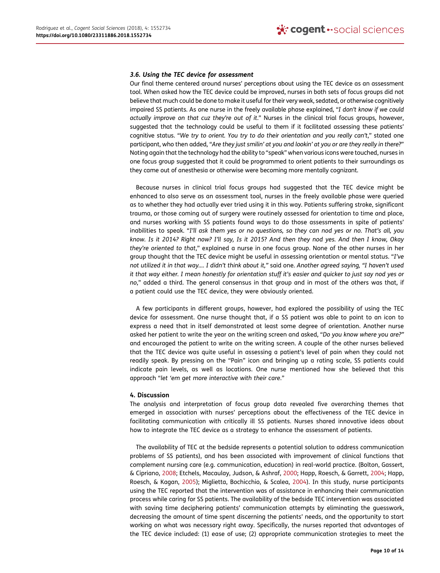#### 3.6. Using the TEC device for assessment

Our final theme centered around nurses' perceptions about using the TEC device as an assessment tool. When asked how the TEC device could be improved, nurses in both sets of focus groups did not believe that much could be done to make it useful for their very weak, sedated, or otherwise cognitively impaired SS patients. As one nurse in the freely available phase explained, "I don't know if we could actually improve on that cuz they're out of it." Nurses in the clinical trial focus groups, however, suggested that the technology could be useful to them if it facilitated assessing these patients' cognitive status. "We try to orient. You try to do their orientation and you really can't," stated one participant, who then added, "Are they just smilin' at you and lookin' at you or are they really in there?" Noting again that the technology had the ability to "speak" when various icons were touched, nurses in one focus group suggested that it could be programmed to orient patients to their surroundings as they came out of anesthesia or otherwise were becoming more mentally cognizant.

Because nurses in clinical trial focus groups had suggested that the TEC device might be enhanced to also serve as an assessment tool, nurses in the freely available phase were queried as to whether they had actually ever tried using it in this way. Patients suffering stroke, significant trauma, or those coming out of surgery were routinely assessed for orientation to time and place, and nurses working with SS patients found ways to do those assessments in spite of patients' inabilities to speak. "I'll ask them yes or no questions, so they can nod yes or no. That's all, you know. Is it 2014? Right now? I'll say, Is it 2015? And then they nod yes. And then I know, Okay they're oriented to that," explained a nurse in one focus group. None of the other nurses in her group thought that the TEC device might be useful in assessing orientation or mental status. "I've not utilized it in that way…. I didn't think about it," said one. Another agreed saying, "I haven't used it that way either. I mean honestly for orientation stuff it's easier and quicker to just say nod yes or no," added a third. The general consensus in that group and in most of the others was that, if a patient could use the TEC device, they were obviously oriented.

A few participants in different groups, however, had explored the possibility of using the TEC device for assessment. One nurse thought that, if a SS patient was able to point to an icon to express a need that in itself demonstrated at least some degree of orientation. Another nurse asked her patient to write the year on the writing screen and asked, "Do you know where you are?" and encouraged the patient to write on the writing screen. A couple of the other nurses believed that the TEC device was quite useful in assessing a patient's level of pain when they could not readily speak. By pressing on the "Pain" icon and bringing up a rating scale, SS patients could indicate pain levels, as well as locations. One nurse mentioned how she believed that this approach "let 'em get more interactive with their care."

#### 4. Discussion

The analysis and interpretation of focus group data revealed five overarching themes that emerged in association with nurses' perceptions about the effectiveness of the TEC device in facilitating communication with critically ill SS patients. Nurses shared innovative ideas about how to integrate the TEC device as a strategy to enhance the assessment of patients.

<span id="page-10-1"></span><span id="page-10-0"></span>The availability of TEC at the bedside represents a potential solution to address communication problems of SS patients), and has been associated with improvement of clinical functions that complement nursing care (e.g. communication, education) in real-world practice. (Bolton, Gassert, & Cipriano, [2008;](#page-13-16) Etchels, Macaulay, Judson, & Ashraf, [2000;](#page-13-17) Happ, Roesch, & Garrett, [2004;](#page-13-18) Happ, Roesch, & Kagan, [2005\)](#page-13-19); Miglietta, Bochicchio, & Scalea, [2004\)](#page-13-20). In this study, nurse participants using the TEC reported that the intervention was of assistance in enhancing their communication process while caring for SS patients. The availability of the bedside TEC intervention was associated with saving time deciphering patients' communication attempts by eliminating the guesswork, decreasing the amount of time spent discerning the patients' needs, and the opportunity to start working on what was necessary right away. Specifically, the nurses reported that advantages of the TEC device included: (1) ease of use; (2) appropriate communication strategies to meet the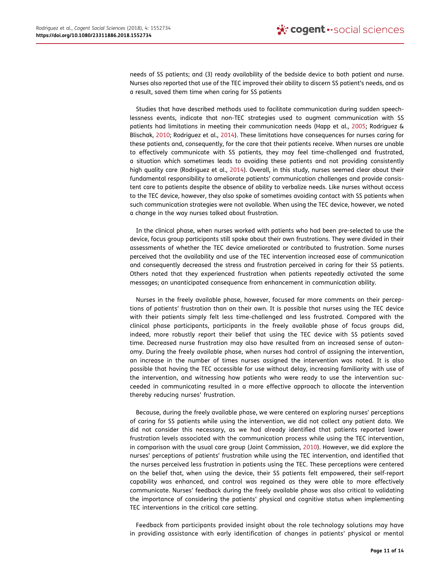needs of SS patients; and (3) ready availability of the bedside device to both patient and nurse. Nurses also reported that use of the TEC improved their ability to discern SS patient's needs, and as a result, saved them time when caring for SS patients

Studies that have described methods used to facilitate communication during sudden speechlessness events, indicate that non-TEC strategies used to augment communication with SS patients had limitations in meeting their communication needs (Happ et al., [2005;](#page-13-19) Rodriguez & Blischak, [2010](#page-13-8); Rodriguez et al., [2014](#page-13-11)). These limitations have consequences for nurses caring for these patients and, consequently, for the care that their patients receive. When nurses are unable to effectively communicate with SS patients, they may feel time-challenged and frustrated, a situation which sometimes leads to avoiding these patients and not providing consistently high quality care (Rodriguez et al., [2014\)](#page-13-11). Overall, in this study, nurses seemed clear about their fundamental responsibility to ameliorate patients' communication challenges and provide consistent care to patients despite the absence of ability to verbalize needs. Like nurses without access to the TEC device, however, they also spoke of sometimes avoiding contact with SS patients when such communication strategies were not available. When using the TEC device, however, we noted a change in the way nurses talked about frustration.

In the clinical phase, when nurses worked with patients who had been pre-selected to use the device, focus group participants still spoke about their own frustrations. They were divided in their assessments of whether the TEC device ameliorated or contributed to frustration. Some nurses perceived that the availability and use of the TEC intervention increased ease of communication and consequently decreased the stress and frustration perceived in caring for their SS patients. Others noted that they experienced frustration when patients repeatedly activated the same messages; an unanticipated consequence from enhancement in communication ability.

Nurses in the freely available phase, however, focused far more comments on their perceptions of patients' frustration than on their own. It is possible that nurses using the TEC device with their patients simply felt less time-challenged and less frustrated. Compared with the clinical phase participants, participants in the freely available phase of focus groups did, indeed, more robustly report their belief that using the TEC device with SS patients saved time. Decreased nurse frustration may also have resulted from an increased sense of autonomy. During the freely available phase, when nurses had control of assigning the intervention, an increase in the number of times nurses assigned the intervention was noted. It is also possible that having the TEC accessible for use without delay, increasing familiarity with use of the intervention, and witnessing how patients who were ready to use the intervention succeeded in communicating resulted in a more effective approach to allocate the intervention thereby reducing nurses' frustration.

Because, during the freely available phase, we were centered on exploring nurses' perceptions of caring for SS patients while using the intervention, we did not collect any patient data. We did not consider this necessary, as we had already identified that patients reported lower frustration levels associated with the communication process while using the TEC intervention, in comparison with the usual care group (Joint Commission, [2010](#page-13-2)). However, we did explore the nurses' perceptions of patients' frustration while using the TEC intervention, and identified that the nurses perceived less frustration in patients using the TEC. These perceptions were centered on the belief that, when using the device, their SS patients felt empowered, their self-report capability was enhanced, and control was regained as they were able to more effectively communicate. Nurses' feedback during the freely available phase was also critical to validating the importance of considering the patients' physical and cognitive status when implementing TEC interventions in the critical care setting.

Feedback from participants provided insight about the role technology solutions may have in providing assistance with early identification of changes in patients' physical or mental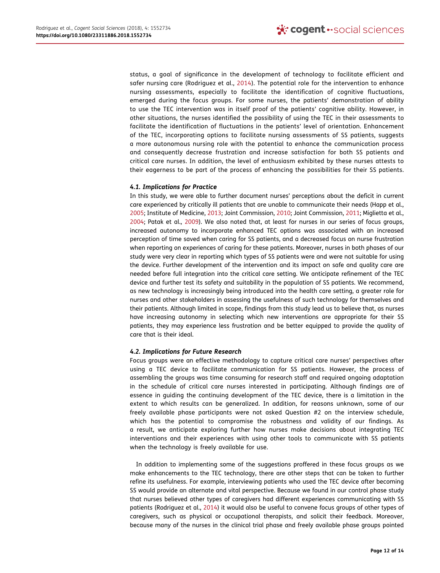status, a goal of significance in the development of technology to facilitate efficient and safer nursing care (Rodriguez et al., [2014](#page-13-11)). The potential role for the intervention to enhance nursing assessments, especially to facilitate the identification of cognitive fluctuations, emerged during the focus groups. For some nurses, the patients' demonstration of ability to use the TEC intervention was in itself proof of the patients' cognitive ability. However, in other situations, the nurses identified the possibility of using the TEC in their assessments to facilitate the identification of fluctuations in the patients' level of orientation. Enhancement of the TEC, incorporating options to facilitate nursing assessments of SS patients, suggests a more autonomous nursing role with the potential to enhance the communication process and consequently decrease frustration and increase satisfaction for both SS patients and critical care nurses. In addition, the level of enthusiasm exhibited by these nurses attests to their eagerness to be part of the process of enhancing the possibilities for their SS patients.

#### 4.1. Implications for Practice

In this study, we were able to further document nurses' perceptions about the deficit in current care experienced by critically ill patients that are unable to communicate their needs (Happ et al., [2005](#page-13-19); Institute of Medicine, [2013;](#page-13-1) Joint Commission, [2010;](#page-13-2) Joint Commission, [2011](#page-13-3); Miglietta et al., [2004](#page-13-20); Patak et al., [2009](#page-13-4)). We also noted that, at least for nurses in our series of focus groups, increased autonomy to incorporate enhanced TEC options was associated with an increased perception of time saved when caring for SS patients, and a decreased focus on nurse frustration when reporting on experiences of caring for these patients. Moreover, nurses in both phases of our study were very clear in reporting which types of SS patients were and were not suitable for using the device. Further development of the intervention and its impact on safe and quality care are needed before full integration into the critical care setting. We anticipate refinement of the TEC device and further test its safety and suitability in the population of SS patients. We recommend, as new technology is increasingly being introduced into the health care setting, a greater role for nurses and other stakeholders in assessing the usefulness of such technology for themselves and their patients. Although limited in scope, findings from this study lead us to believe that, as nurses have increasing autonomy in selecting which new interventions are appropriate for their SS patients, they may experience less frustration and be better equipped to provide the quality of care that is their ideal.

#### 4.2. Implications for Future Research

Focus groups were an effective methodology to capture critical care nurses' perspectives after using a TEC device to facilitate communication for SS patients. However, the process of assembling the groups was time consuming for research staff and required ongoing adaptation in the schedule of critical care nurses interested in participating. Although findings are of essence in guiding the continuing development of the TEC device, there is a limitation in the extent to which results can be generalized. In addition, for reasons unknown, some of our freely available phase participants were not asked Question #2 on the interview schedule, which has the potential to compromise the robustness and validity of our findings. As a result, we anticipate exploring further how nurses make decisions about integrating TEC interventions and their experiences with using other tools to communicate with SS patients when the technology is freely available for use.

In addition to implementing some of the suggestions proffered in these focus groups as we make enhancements to the TEC technology, there are other steps that can be taken to further refine its usefulness. For example, interviewing patients who used the TEC device after becoming SS would provide an alternate and vital perspective. Because we found in our control phase study that nurses believed other types of caregivers had different experiences communicating with SS patients (Rodriguez et al., [2014](#page-13-11)) it would also be useful to convene focus groups of other types of caregivers, such as physical or occupational therapists, and solicit their feedback. Moreover, because many of the nurses in the clinical trial phase and freely available phase groups pointed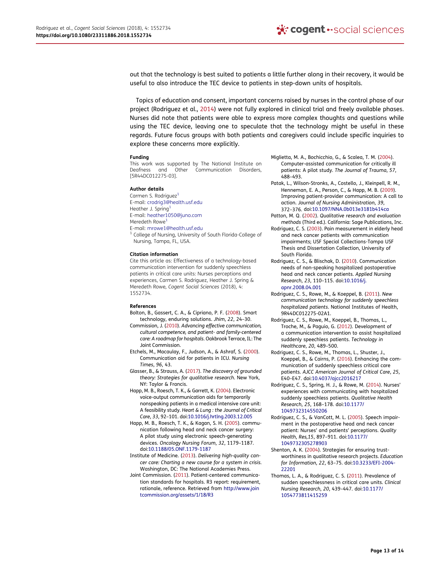out that the technology is best suited to patients a little further along in their recovery, it would be useful to also introduce the TEC device to patients in step-down units of hospitals.

Topics of education and consent, important concerns raised by nurses in the control phase of our project (Rodriguez et al., [2014\)](#page-13-11) were not fully explored in clinical trial and freely available phases. Nurses did note that patients were able to express more complex thoughts and questions while using the TEC device, leaving one to speculate that the technology might be useful in these regards. Future focus groups with both patients and caregivers could include specific inquiries to explore these concerns more explicitly.

#### Funding

This work was supported by The National Institute on Deafness and Other Communication Disorders, [5R44DC012275-03].

#### Author details

Carmen S. Rodriguez<sup>[1](#page-1-0)</sup> E-mail: crodrig3@health.usf.edu Heather J. Spring<sup>[1](#page-1-0)</sup> E-mail: heather1050@juno.com Meredeth Rowe<sup>[1](#page-1-0)</sup> E-mail: mrowe1@health.usf.edu

<span id="page-13-0"></span> $1$  College of Nursing, University of South Florida-College of Nursing, Tampa, FL, USA.

#### Citation information

Cite this article as: Effectiveness of a technology-based communication intervention for suddenly speechless patients in critical care units: Nurses perceptions and experiences, Carmen S. Rodriguez, Heather J. Spring & Meredeth Rowe, Cogent Social Sciences (2018), 4: 1552734.

#### References

- <span id="page-13-16"></span>Bolton, B., Gassert, C. A., & Cipriano, P. F. ([2008\)](#page-10-0). Smart technology, enduring solutions. Jhim, 22, 24–30.
- <span id="page-13-2"></span>Commission, J. [\(2010\)](#page-2-0). Advancing effective communication, cultural competence, and patient- and family-centered care: A roadmap for hospitals. Oakbrook Terrace, IL: The Joint Commission.
- <span id="page-13-17"></span>Etchels, M., Macaulay, F., Judson, A., & Ashraf, S. ([2000\)](#page-10-0). Communication aid for patients in ICU. Nursing Times, 96, 43.
- <span id="page-13-14"></span>Glasser, B., & Strauss, A. [\(2017](#page-4-0)). The discovery of grounded theory: Strategies for qualitative research. New York, NY: Taylor & Francis.
- <span id="page-13-18"></span>Happ, M. B., Roesch, T. K., & Garrett, K. [\(2004](#page-10-0)). Electronic voice-output communication aids for temporarily nonspeaking patients in a medical intensive care unit: A feasibility study. Heart & Lung : the Journal of Critical Care, 33, 92–101. doi:[10.1016/j.hrtlng.2003.12.005](https://doi.org/10.1016/j.hrtlng.2003.12.005)
- <span id="page-13-19"></span>Happ, M. B., Roesch, T. K., & Kagan, S. H. [\(2005](#page-10-1)). communication following head and neck cancer surgery: A pilot study using electronic speech-generating devices. Oncology Nursing Forum, 32, 1179–1187. doi:[10.1188/05.ONF.1179-1187](https://doi.org/10.1188/05.ONF.1179-1187)
- <span id="page-13-1"></span>Institute of Medicine. [\(2013](#page-2-1)). Delivering high-quality cancer care: Charting a new course for a system in crisis. Washington, DC: The National Academies Press.
- <span id="page-13-3"></span>Joint Commission. ([2011\)](#page-2-0). Patient-centered communication standards for hospitals. R3 report: requirement, rationale, reference. Retrieved from [http://www.join](http://www.jointcommission.org/assets/1/18/R3) [tcommission.org/assets/1/18/R3](http://www.jointcommission.org/assets/1/18/R3)

<span id="page-13-20"></span>Miglietta, M. A., Bochicchio, G., & Scalea, T. M. ([2004\)](#page-10-1). Computer-assisted communication for critically ill patients: A pilot study. The Journal of Trauma, 57, 488–493.

- <span id="page-13-4"></span>Patak, L., Wilson-Stronks, A., Costello, J., Kleinpell, R. M., Henneman, E. A., Person, C., & Happ, M. B. ([2009\)](#page-2-0). Improving patient-provider communication: A call to action. Journal of Nursing Administration, 39, 372–376. doi:[10.1097/NNA.0b013e3181b414ca](https://doi.org/10.1097/NNA.0b013e3181b414ca)
- <span id="page-13-13"></span>Patton, M. Q. [\(2002\)](#page-3-0). Qualitative research and evaluation methods (Third ed.). California: Sage Publications, Inc.
- <span id="page-13-7"></span>Rodriguez, C. S. [\(2003](#page-2-2)). Pain measurement in elderly head and neck cancer patients with communication impairments; USF Special Collections-Tampa USF Thesis and Dissertation Collection, University of South Florida.
- <span id="page-13-8"></span>Rodriguez, C. S., & Blischak, D. ([2010\)](#page-2-2). Communication needs of non-speaking hospitalized postoperative head and neck cancer patients. Applied Nursing Research, 23, 110–115. doi:[10.1016/j.](https://doi.org/10.1016/j.apnr.2008.04.001) [apnr.2008.04.001](https://doi.org/10.1016/j.apnr.2008.04.001)
- <span id="page-13-10"></span>Rodriguez, C. S., Rowe, M., & Koeppel, B. [\(2011](#page-2-3)). New communication technology for suddenly speechless hospitalized patients. National Institutes of Health, 9R44DC012275-02A1.
- <span id="page-13-12"></span>Rodriguez, C. S., Rowe, M., Koeppel, B., Thomas, L., Troche, M., & Paguio, G. [\(2012](#page-2-4)). Development of a communication intervention to assist hospitalized suddenly speechless patients. Technology in Healthcare, 20, 489–500.
- <span id="page-13-5"></span>Rodriguez, C. S., Rowe, M., Thomas, L., Shuster, J., Koeppel, B., & Cairns, P. [\(2016](#page-2-5)). Enhancing the communication of suddenly speechless critical care patients. AJCC American Journal of Critical Care, 25, E40–E47. doi:[10.4037/ajcc2016217](https://doi.org/10.4037/ajcc2016217)
- <span id="page-13-11"></span>Rodriguez, C. S., Spring, H. J., & Rowe, M. [\(2014](#page-2-6)). Nurses' experiences with communicating with hospitalized suddenly speechless patients. Qualitative Health Research, 25, 168–178. doi:[10.1177/](https://doi.org/10.1177/1049732314550206) [1049732314550206](https://doi.org/10.1177/1049732314550206)
- <span id="page-13-6"></span>Rodriguez, C. S., & VanCott, M. L. ([2005\)](#page-2-5). Speech impairment in the postoperative head and neck cancer patient: Nurses' and patients' perceptions. Quality Health, Res,15, 897–911. doi:[10.1177/](https://doi.org/10.1177/1049732305278903) [1049732305278903](https://doi.org/10.1177/1049732305278903)
- <span id="page-13-15"></span>Shenton, A. K. ([2004\)](#page-4-0). Strategies for ensuring trustworthiness in qualitative research projects. Education for Information, 22, 63–75. doi:[10.3233/EFI-2004-](https://doi.org/10.3233/EFI-2004-22201) [22201](https://doi.org/10.3233/EFI-2004-22201)
- <span id="page-13-9"></span>Thomas, L. A., & Rodriguez, C. S. ([2011\)](#page-2-0). Prevalence of sudden speechlessness in critical care units. Clinical Nursing Research, 20, 439–447. doi:[10.1177/](https://doi.org/10.1177/1054773811415259) [1054773811415259](https://doi.org/10.1177/1054773811415259)